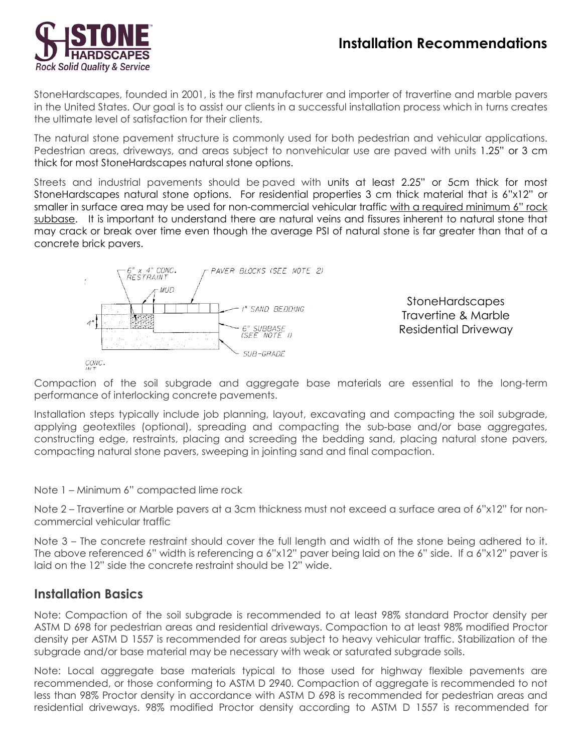

StoneHardscapes, founded in 2001, is the first manufacturer and importer of travertine and marble pavers in the United States. Our goal is to assist our clients in a successful installation process which in turns creates the ultimate level of satisfaction for their clients.

The natural stone pavement structure is commonly used for both pedestrian and vehicular applications. Pedestrian areas, driveways, and areas subject to nonvehicular use are paved with units 1.25" or 3 cm thick for most StoneHardscapes natural stone options.

Streets and industrial pavements should be paved with units at least 2.25" or 5cm thick for most StoneHardscapes natural stone options. For residential properties 3 cm thick material that is 6"x12" or smaller in surface area may be used for non-commercial vehicular traffic with a required minimum 6" rock subbase. It is important to understand there are natural veins and fissures inherent to natural stone that may crack or break over time even though the average PSI of natural stone is far greater than that of a concrete brick pavers.



StoneHardscapes Travertine & Marble Residential Driveway

CONC.

Compaction of the soil subgrade and aggregate base materials are essential to the long-term performance of interlocking concrete pavements.

Installation steps typically include job planning, layout, excavating and compacting the soil subgrade, applying geotextiles (optional), spreading and compacting the sub-base and/or base aggregates, constructing edge, restraints, placing and screeding the bedding sand, placing natural stone pavers, compacting natural stone pavers, sweeping in jointing sand and final compaction.

Note 1 – Minimum 6" compacted lime rock

Note 2 – Travertine or Marble pavers at a 3cm thickness must not exceed a surface area of 6"x12" for noncommercial vehicular traffic

Note 3 – The concrete restraint should cover the full length and width of the stone being adhered to it. The above referenced 6" width is referencing a 6"x12" paver being laid on the 6" side. If a 6"x12" paver is laid on the 12" side the concrete restraint should be 12" wide.

#### **Installation Basics**

Note: Compaction of the soil subgrade is recommended to at least 98% standard Proctor density per ASTM D 698 for pedestrian areas and residential driveways. Compaction to at least 98% modified Proctor density per ASTM D 1557 is recommended for areas subject to heavy vehicular traffic. Stabilization of the subgrade and/or base material may be necessary with weak or saturated subgrade soils.

Note: Local aggregate base materials typical to those used for highway flexible pavements are recommended, or those conforming to ASTM D 2940. Compaction of aggregate is recommended to not less than 98% Proctor density in accordance with ASTM D 698 is recommended for pedestrian areas and residential driveways. 98% modified Proctor density according to ASTM D 1557 is recommended for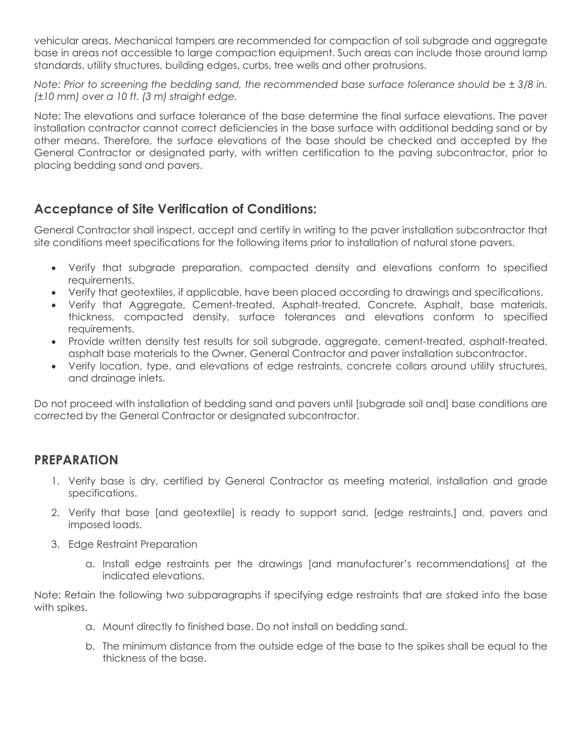vehicular areas. Mechanical tampers are recommended for compaction of soil subgrade and aggregate base in areas not accessible to large compaction equipment. Such areas can include those around lamp standards, utility structures, building edges, curbs, tree wells and other protrusions.

*Note: Prior to screening the bedding sand, the recommended base surface tolerance should be ± 3/8 in. (±10 mm) over a 10 ft. (3 m) straight edge.* 

Note: The elevations and surface tolerance of the base determine the final surface elevations. The paver installation contractor cannot correct deficiencies in the base surface with additional bedding sand or by other means. Therefore, the surface elevations of the base should be checked and accepted by the General Contractor or designated party, with written certification to the paving subcontractor, prior to placing bedding sand and pavers.

# **Acceptance of Site Verification of Conditions:**

General Contractor shall inspect, accept and certify in writing to the paver installation subcontractor that site conditions meet specifications for the following items prior to installation of natural stone pavers.

- Verify that subgrade preparation, compacted density and elevations conform to specified requirements.
- Verify that geotextiles, if applicable, have been placed according to drawings and specifications.
- Verify that Aggregate, Cement-treated, Asphalt-treated, Concrete, Asphalt, base materials, thickness, compacted density, surface tolerances and elevations conform to specified requirements.
- Provide written density test results for soil subgrade, aggregate, cement-treated, asphalt-treated, asphalt base materials to the Owner, General Contractor and paver installation subcontractor.
- Verify location, type, and elevations of edge restraints, concrete collars around utility structures, and drainage inlets.

Do not proceed with installation of bedding sand and pavers until [subgrade soil and] base conditions are corrected by the General Contractor or designated subcontractor.

#### **PREPARATION**

- 1. Verify base is dry, certified by General Contractor as meeting material, installation and grade specifications.
- 2. Verify that base [and geotextile] is ready to support sand, [edge restraints,] and, pavers and imposed loads.
- 3. Edge Restraint Preparation
	- a. Install edge restraints per the drawings [and manufacturer's recommendations] at the indicated elevations.

Note: Retain the following two subparagraphs if specifying edge restraints that are staked into the base with spikes.

- a. Mount directly to finished base. Do not install on bedding sand.
- b. The minimum distance from the outside edge of the base to the spikes shall be equal to the thickness of the base.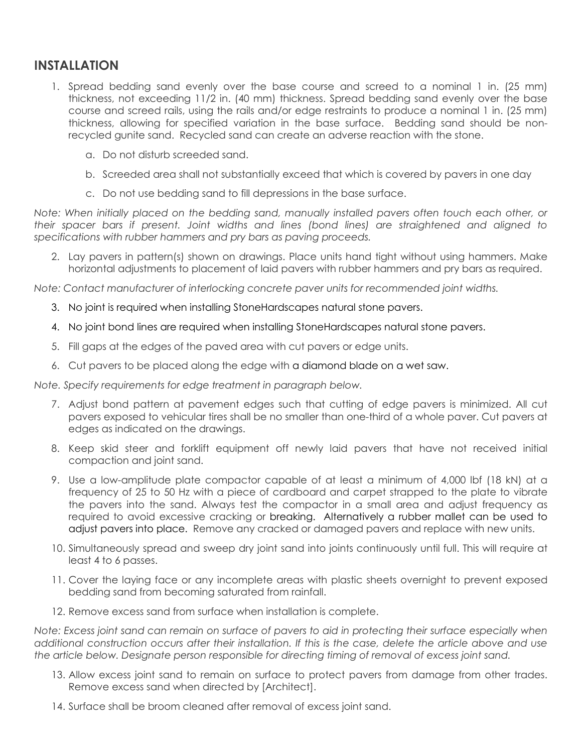#### **INSTALLATION**

- 1. Spread bedding sand evenly over the base course and screed to a nominal 1 in. (25 mm) thickness, not exceeding 11/2 in. (40 mm) thickness. Spread bedding sand evenly over the base course and screed rails, using the rails and/or edge restraints to produce a nominal 1 in. (25 mm) thickness, allowing for specified variation in the base surface. Bedding sand should be nonrecycled gunite sand. Recycled sand can create an adverse reaction with the stone.
	- a. Do not disturb screeded sand.
	- b. Screeded area shall not substantially exceed that which is covered by pavers in one day
	- c. Do not use bedding sand to fill depressions in the base surface.

*Note: When initially placed on the bedding sand, manually installed pavers often touch each other, or their spacer bars if present. Joint widths and lines (bond lines) are straightened and aligned to specifications with rubber hammers and pry bars as paving proceeds.*

2. Lay pavers in pattern(s) shown on drawings. Place units hand tight without using hammers. Make horizontal adjustments to placement of laid pavers with rubber hammers and pry bars as required.

*Note: Contact manufacturer of interlocking concrete paver units for recommended joint widths.*

- 3. No joint is required when installing StoneHardscapes natural stone pavers.
- 4. No joint bond lines are required when installing StoneHardscapes natural stone pavers.
- 5. Fill gaps at the edges of the paved area with cut pavers or edge units.
- 6. Cut pavers to be placed along the edge with a diamond blade on a wet saw.

*Note. Specify requirements for edge treatment in paragraph below.*

- 7. Adjust bond pattern at pavement edges such that cutting of edge pavers is minimized. All cut pavers exposed to vehicular tires shall be no smaller than one-third of a whole paver. Cut pavers at edges as indicated on the drawings.
- 8. Keep skid steer and forklift equipment off newly laid pavers that have not received initial compaction and joint sand.
- 9. Use a low-amplitude plate compactor capable of at least a minimum of 4,000 lbf (18 kN) at a frequency of 25 to 50 Hz with a piece of cardboard and carpet strapped to the plate to vibrate the pavers into the sand. Always test the compactor in a small area and adjust frequency as required to avoid excessive cracking or breaking. Alternatively a rubber mallet can be used to adjust pavers into place. Remove any cracked or damaged pavers and replace with new units.
- 10. Simultaneously spread and sweep dry joint sand into joints continuously until full. This will require at least 4 to 6 passes.
- 11. Cover the laying face or any incomplete areas with plastic sheets overnight to prevent exposed bedding sand from becoming saturated from rainfall.
- 12. Remove excess sand from surface when installation is complete.

*Note: Excess joint sand can remain on surface of pavers to aid in protecting their surface especially when additional construction occurs after their installation. If this is the case, delete the article above and use the article below. Designate person responsible for directing timing of removal of excess joint sand.*

- 13. Allow excess joint sand to remain on surface to protect pavers from damage from other trades. Remove excess sand when directed by [Architect].
- 14. Surface shall be broom cleaned after removal of excess joint sand.